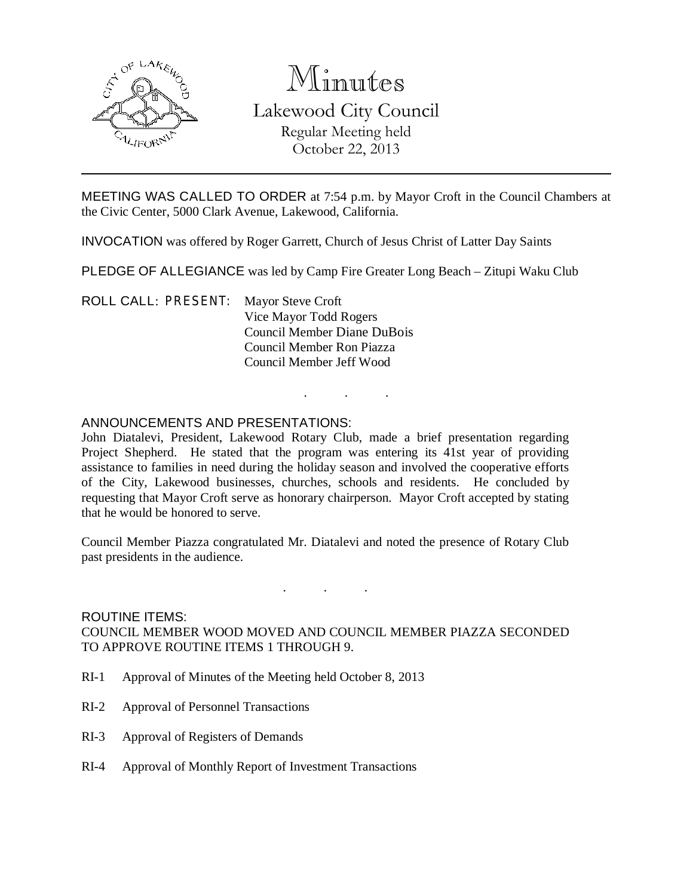

# Minutes Lakewood City Council

Regular Meeting held October 22, 2013

MEETING WAS CALLED TO ORDER at 7:54 p.m. by Mayor Croft in the Council Chambers at the Civic Center, 5000 Clark Avenue, Lakewood, California.

INVOCATION was offered by Roger Garrett, Church of Jesus Christ of Latter Day Saints

PLEDGE OF ALLEGIANCE was led by Camp Fire Greater Long Beach – Zitupi Waku Club

ROLL CALL: PRESENT: Mayor Steve Croft Vice Mayor Todd Rogers Council Member Diane DuBois Council Member Ron Piazza Council Member Jeff Wood

# ANNOUNCEMENTS AND PRESENTATIONS:

John Diatalevi, President, Lakewood Rotary Club, made a brief presentation regarding Project Shepherd. He stated that the program was entering its 41st year of providing assistance to families in need during the holiday season and involved the cooperative efforts of the City, Lakewood businesses, churches, schools and residents. He concluded by requesting that Mayor Croft serve as honorary chairperson. Mayor Croft accepted by stating that he would be honored to serve.

. . .

Council Member Piazza congratulated Mr. Diatalevi and noted the presence of Rotary Club past presidents in the audience.

. . .

ROUTINE ITEMS: COUNCIL MEMBER WOOD MOVED AND COUNCIL MEMBER PIAZZA SECONDED TO APPROVE ROUTINE ITEMS 1 THROUGH 9.

- RI-1 Approval of Minutes of the Meeting held October 8, 2013
- RI-2 Approval of Personnel Transactions
- RI-3 Approval of Registers of Demands
- RI-4 Approval of Monthly Report of Investment Transactions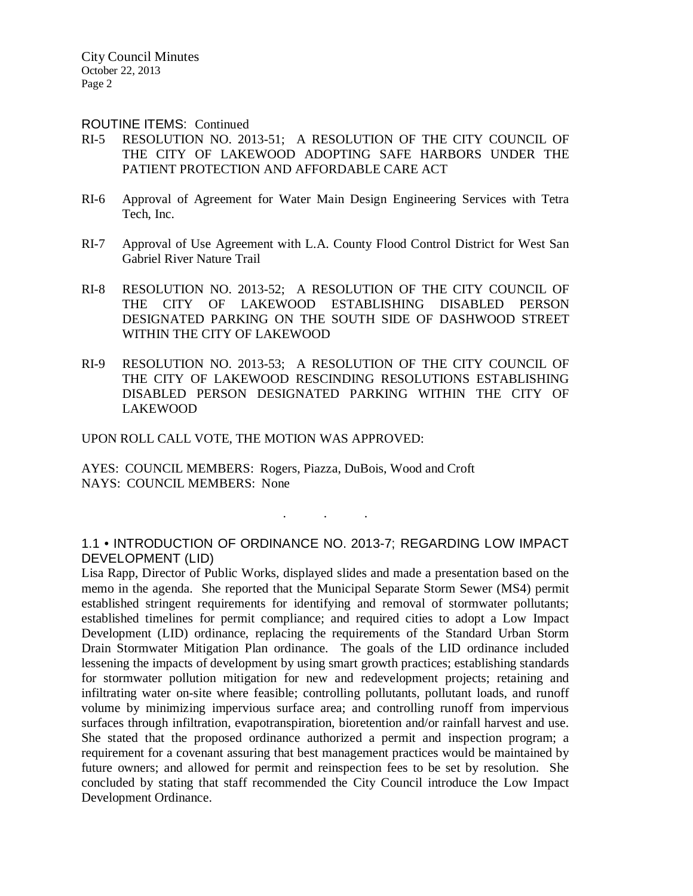City Council Minutes October 22, 2013 Page 2

#### ROUTINE ITEMS: Continued

- RI-5 RESOLUTION NO. 2013-51; A RESOLUTION OF THE CITY COUNCIL OF THE CITY OF LAKEWOOD ADOPTING SAFE HARBORS UNDER THE PATIENT PROTECTION AND AFFORDABLE CARE ACT
- RI-6 Approval of Agreement for Water Main Design Engineering Services with Tetra Tech, Inc.
- RI-7 Approval of Use Agreement with L.A. County Flood Control District for West San Gabriel River Nature Trail
- RI-8 RESOLUTION NO. 2013-52; A RESOLUTION OF THE CITY COUNCIL OF THE CITY OF LAKEWOOD ESTABLISHING DISABLED PERSON DESIGNATED PARKING ON THE SOUTH SIDE OF DASHWOOD STREET WITHIN THE CITY OF LAKEWOOD
- RI-9 RESOLUTION NO. 2013-53; A RESOLUTION OF THE CITY COUNCIL OF THE CITY OF LAKEWOOD RESCINDING RESOLUTIONS ESTABLISHING DISABLED PERSON DESIGNATED PARKING WITHIN THE CITY OF LAKEWOOD

UPON ROLL CALL VOTE, THE MOTION WAS APPROVED:

AYES: COUNCIL MEMBERS: Rogers, Piazza, DuBois, Wood and Croft NAYS: COUNCIL MEMBERS: None

1.1 • INTRODUCTION OF ORDINANCE NO. 2013-7; REGARDING LOW IMPACT DEVELOPMENT (LID)

. . .

Lisa Rapp, Director of Public Works, displayed slides and made a presentation based on the memo in the agenda. She reported that the Municipal Separate Storm Sewer (MS4) permit established stringent requirements for identifying and removal of stormwater pollutants; established timelines for permit compliance; and required cities to adopt a Low Impact Development (LID) ordinance, replacing the requirements of the Standard Urban Storm Drain Stormwater Mitigation Plan ordinance. The goals of the LID ordinance included lessening the impacts of development by using smart growth practices; establishing standards for stormwater pollution mitigation for new and redevelopment projects; retaining and infiltrating water on-site where feasible; controlling pollutants, pollutant loads, and runoff volume by minimizing impervious surface area; and controlling runoff from impervious surfaces through infiltration, evapotranspiration, bioretention and/or rainfall harvest and use. She stated that the proposed ordinance authorized a permit and inspection program; a requirement for a covenant assuring that best management practices would be maintained by future owners; and allowed for permit and reinspection fees to be set by resolution. She concluded by stating that staff recommended the City Council introduce the Low Impact Development Ordinance.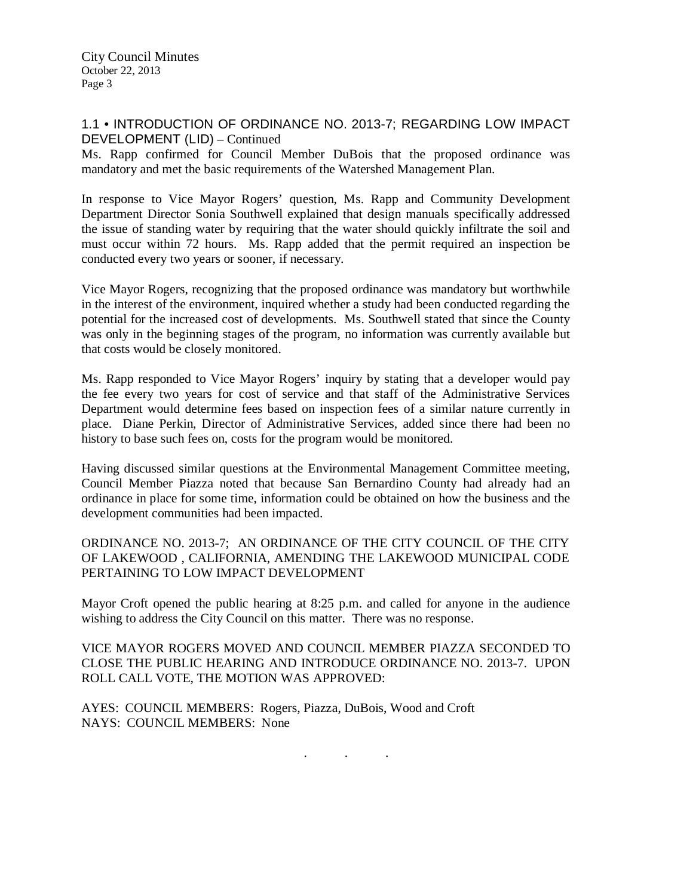City Council Minutes October 22, 2013 Page 3

## 1.1 • INTRODUCTION OF ORDINANCE NO. 2013-7; REGARDING LOW IMPACT DEVELOPMENT (LID) – Continued

Ms. Rapp confirmed for Council Member DuBois that the proposed ordinance was mandatory and met the basic requirements of the Watershed Management Plan.

In response to Vice Mayor Rogers' question, Ms. Rapp and Community Development Department Director Sonia Southwell explained that design manuals specifically addressed the issue of standing water by requiring that the water should quickly infiltrate the soil and must occur within 72 hours. Ms. Rapp added that the permit required an inspection be conducted every two years or sooner, if necessary.

Vice Mayor Rogers, recognizing that the proposed ordinance was mandatory but worthwhile in the interest of the environment, inquired whether a study had been conducted regarding the potential for the increased cost of developments. Ms. Southwell stated that since the County was only in the beginning stages of the program, no information was currently available but that costs would be closely monitored.

Ms. Rapp responded to Vice Mayor Rogers' inquiry by stating that a developer would pay the fee every two years for cost of service and that staff of the Administrative Services Department would determine fees based on inspection fees of a similar nature currently in place. Diane Perkin, Director of Administrative Services, added since there had been no history to base such fees on, costs for the program would be monitored.

Having discussed similar questions at the Environmental Management Committee meeting, Council Member Piazza noted that because San Bernardino County had already had an ordinance in place for some time, information could be obtained on how the business and the development communities had been impacted.

ORDINANCE NO. 2013-7; AN ORDINANCE OF THE CITY COUNCIL OF THE CITY OF LAKEWOOD , CALIFORNIA, AMENDING THE LAKEWOOD MUNICIPAL CODE PERTAINING TO LOW IMPACT DEVELOPMENT

Mayor Croft opened the public hearing at 8:25 p.m. and called for anyone in the audience wishing to address the City Council on this matter. There was no response.

VICE MAYOR ROGERS MOVED AND COUNCIL MEMBER PIAZZA SECONDED TO CLOSE THE PUBLIC HEARING AND INTRODUCE ORDINANCE NO. 2013-7. UPON ROLL CALL VOTE, THE MOTION WAS APPROVED:

AYES: COUNCIL MEMBERS: Rogers, Piazza, DuBois, Wood and Croft NAYS: COUNCIL MEMBERS: None

. . .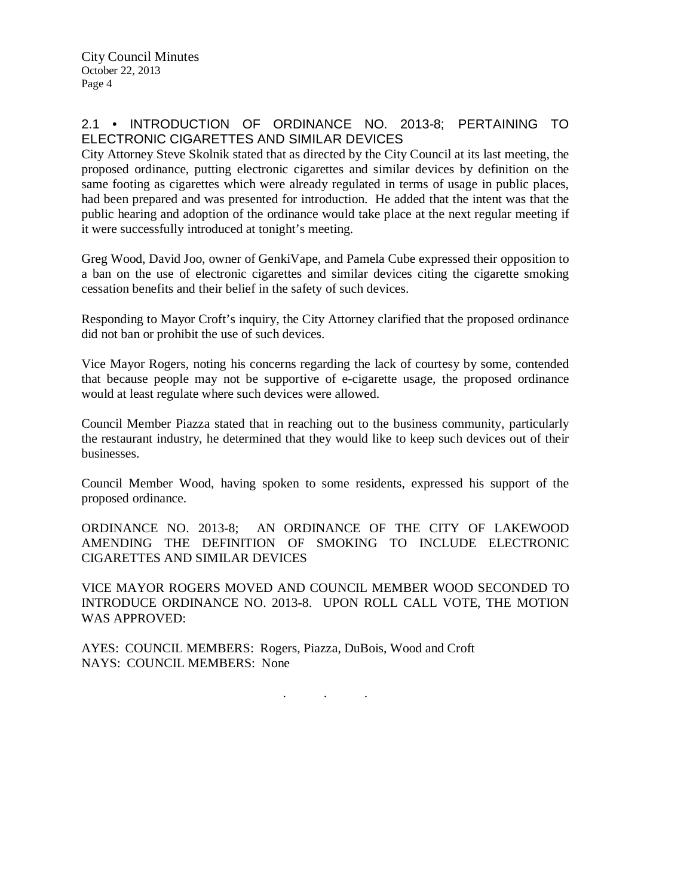# 2.1 • INTRODUCTION OF ORDINANCE NO. 2013-8; PERTAINING TO ELECTRONIC CIGARETTES AND SIMILAR DEVICES

City Attorney Steve Skolnik stated that as directed by the City Council at its last meeting, the proposed ordinance, putting electronic cigarettes and similar devices by definition on the same footing as cigarettes which were already regulated in terms of usage in public places, had been prepared and was presented for introduction. He added that the intent was that the public hearing and adoption of the ordinance would take place at the next regular meeting if it were successfully introduced at tonight's meeting.

Greg Wood, David Joo, owner of GenkiVape, and Pamela Cube expressed their opposition to a ban on the use of electronic cigarettes and similar devices citing the cigarette smoking cessation benefits and their belief in the safety of such devices.

Responding to Mayor Croft's inquiry, the City Attorney clarified that the proposed ordinance did not ban or prohibit the use of such devices.

Vice Mayor Rogers, noting his concerns regarding the lack of courtesy by some, contended that because people may not be supportive of e-cigarette usage, the proposed ordinance would at least regulate where such devices were allowed.

Council Member Piazza stated that in reaching out to the business community, particularly the restaurant industry, he determined that they would like to keep such devices out of their businesses.

Council Member Wood, having spoken to some residents, expressed his support of the proposed ordinance.

ORDINANCE NO. 2013-8; AN ORDINANCE OF THE CITY OF LAKEWOOD AMENDING THE DEFINITION OF SMOKING TO INCLUDE ELECTRONIC CIGARETTES AND SIMILAR DEVICES

VICE MAYOR ROGERS MOVED AND COUNCIL MEMBER WOOD SECONDED TO INTRODUCE ORDINANCE NO. 2013-8. UPON ROLL CALL VOTE, THE MOTION WAS APPROVED:

AYES: COUNCIL MEMBERS: Rogers, Piazza, DuBois, Wood and Croft NAYS: COUNCIL MEMBERS: None

. . .